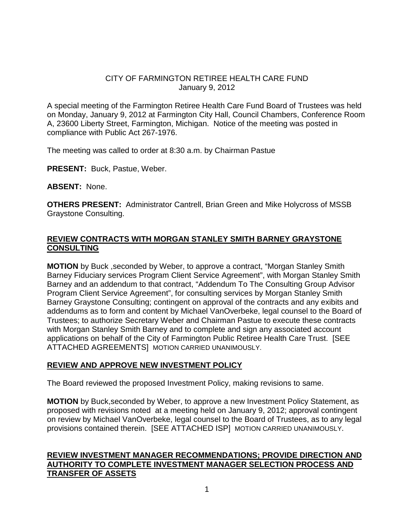## CITY OF FARMINGTON RETIREE HEALTH CARE FUND January 9, 2012

A special meeting of the Farmington Retiree Health Care Fund Board of Trustees was held on Monday, January 9, 2012 at Farmington City Hall, Council Chambers, Conference Room A, 23600 Liberty Street, Farmington, Michigan. Notice of the meeting was posted in compliance with Public Act 267-1976.

The meeting was called to order at 8:30 a.m. by Chairman Pastue

**PRESENT:** Buck, Pastue, Weber.

**ABSENT:** None.

**OTHERS PRESENT:** Administrator Cantrell, Brian Green and Mike Holycross of MSSB Graystone Consulting.

# **REVIEW CONTRACTS WITH MORGAN STANLEY SMITH BARNEY GRAYSTONE CONSULTING**

**MOTION** by Buck ,seconded by Weber, to approve a contract, "Morgan Stanley Smith Barney Fiduciary services Program Client Service Agreement", with Morgan Stanley Smith Barney and an addendum to that contract, "Addendum To The Consulting Group Advisor Program Client Service Agreement", for consulting services by Morgan Stanley Smith Barney Graystone Consulting; contingent on approval of the contracts and any exibits and addendums as to form and content by Michael VanOverbeke, legal counsel to the Board of Trustees; to authorize Secretary Weber and Chairman Pastue to execute these contracts with Morgan Stanley Smith Barney and to complete and sign any associated account applications on behalf of the City of Farmington Public Retiree Health Care Trust. [SEE ATTACHED AGREEMENTS] MOTION CARRIED UNANIMOUSLY.

## **REVIEW AND APPROVE NEW INVESTMENT POLICY**

The Board reviewed the proposed Investment Policy, making revisions to same.

**MOTION** by Buck,seconded by Weber, to approve a new Investment Policy Statement, as proposed with revisions noted at a meeting held on January 9, 2012; approval contingent on review by Michael VanOverbeke, legal counsel to the Board of Trustees, as to any legal provisions contained therein. [SEE ATTACHED ISP] MOTION CARRIED UNANIMOUSLY.

# **REVIEW INVESTMENT MANAGER RECOMMENDATIONS; PROVIDE DIRECTION AND AUTHORITY TO COMPLETE INVESTMENT MANAGER SELECTION PROCESS AND TRANSFER OF ASSETS**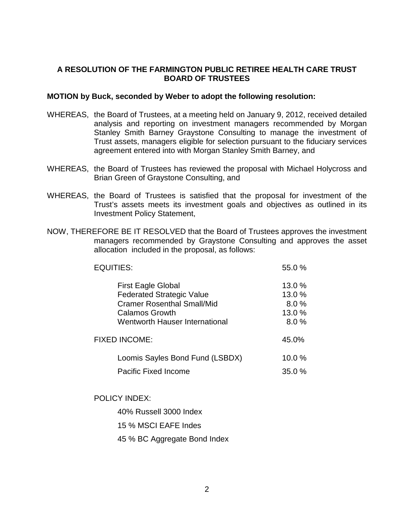### **A RESOLUTION OF THE FARMINGTON PUBLIC RETIREE HEALTH CARE TRUST BOARD OF TRUSTEES**

### **MOTION by Buck, seconded by Weber to adopt the following resolution:**

- WHEREAS, the Board of Trustees, at a meeting held on January 9, 2012, received detailed analysis and reporting on investment managers recommended by Morgan Stanley Smith Barney Graystone Consulting to manage the investment of Trust assets, managers eligible for selection pursuant to the fiduciary services agreement entered into with Morgan Stanley Smith Barney, and
- WHEREAS, the Board of Trustees has reviewed the proposal with Michael Holycross and Brian Green of Graystone Consulting, and
- WHEREAS, the Board of Trustees is satisfied that the proposal for investment of the Trust's assets meets its investment goals and objectives as outlined in its Investment Policy Statement,
- NOW, THEREFORE BE IT RESOLVED that the Board of Trustees approves the investment managers recommended by Graystone Consulting and approves the asset allocation included in the proposal, as follows:

| <b>EQUITIES:</b>                                                                                                            | 55.0%                             |
|-----------------------------------------------------------------------------------------------------------------------------|-----------------------------------|
| <b>First Eagle Global</b><br><b>Federated Strategic Value</b><br><b>Cramer Rosenthal Small/Mid</b><br><b>Calamos Growth</b> | 13.0 %<br>13.0%<br>8.0%<br>13.0 % |
| <b>Wentworth Hauser International</b><br><b>FIXED INCOME:</b>                                                               | 8.0%<br>45.0%                     |
| Loomis Sayles Bond Fund (LSBDX)                                                                                             | 10.0%                             |
| <b>Pacific Fixed Income</b>                                                                                                 | 35.0%                             |

POLICY INDEX:

40% Russell 3000 Index 15 % MSCI EAFE Indes 45 % BC Aggregate Bond Index